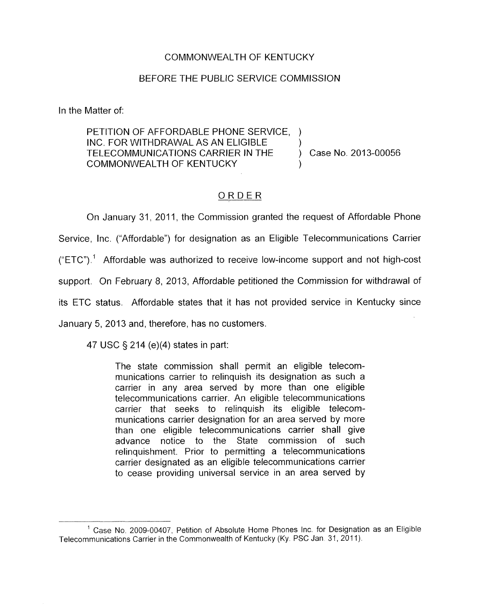## COMMONWEALTH OF KENTUCKY

## BEFORE THE PUBLIC SERVICE COMMISSION

In the Matter of:

PETITION OF AFFORDABLE PHONE SERVICE, ) INC. FOR WITHDRAWAL AS AN ELIGIBLE TELECOMMUNICATIONS CARRIER IN THE ) Case No. 2013-00056 COMMONWEALTH OF KENTUCKY )

## ORDER

On January 31, 2011, the Commission granted the request of Affordable Phone Service, Inc. ("Affordable") for designation as an Eligible Telecommunications Carrier  $("ETC")$ <sup>1</sup> Affordable was authorized to receive low-income support and not high-cost support. On February 8, 2013, Affordable petitioned the Commission for withdrawal of its ETC status. Affordable states that it has not provided service in Kentucky since January 5, 2013 and, therefore, has no customers.

47 USC § 214 (e)(4) states in part:

The state commission shall permit an eligible telecommunications carrier to relinquish its designation as such a carrier in any area served by more than one eligible telecommunications carrier. An eligible telecommunications carrier that seeks to relinquish its eligible telecommunications carrier designation for an area served by more than one eligible telecommunications carrier shall give advance notice to the State commission of such relinquishment. Prior to permitting a telecommunications carrier designated as an eligible telecommunications carrier to cease providing universal service in an area served by

<sup>&</sup>lt;sup>1</sup> Case No. 2009-00407, Petition of Absolute Home Phones Inc. for Designation as an Eligible Telecommunications Carrier in the Commonwealth of Kentucky (Ky. PSC Jan 31, 2011).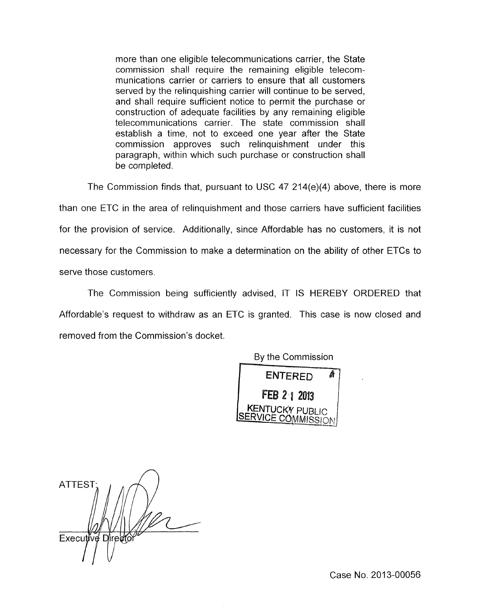more than one eligible telecommunications carrier, the State commission shall require the remaining eligible telecommunications carrier or carriers to ensure that all customers served by the relinquishing carrier will continue to be served, and shall require sufficient notice to permit the purchase or construction of adequate facilities by any remaining eligible telecommunications carrier. The state commission shall establish a time, not to exceed one year after the State commission approves such relinquishment under this paragraph, within which such purchase or construction shall be completed.

The Commission finds that, pursuant to USC 47  $214(e)(4)$  above, there is more than one ETC in the area of relinquishment and those carriers have sufficient facilities for the provision of service. Additionally, since Affordable has no customers, it is not necessary for the Commission to make a determination on the ability of other ETCs to serve those customers.

'The Commission being sufficiently advised, IT IS HEREBY ORDERED that Affordable's request to withdraw as an ETC is granted. This case is now closed and removed from the Commission's docket.

By the Commission



 $\bigcap$ **ATTEST** Executive Directo

Case No. 2013-00056